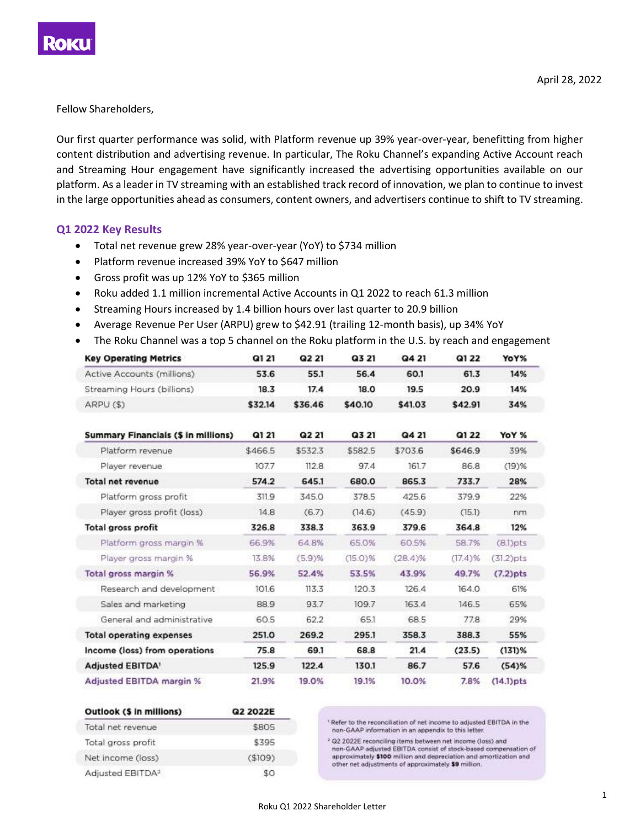

Fellow Shareholders,

Our first quarter performance was solid, with Platform revenue up 39% year-over-year, benefitting from higher content distribution and advertising revenue. In particular, The Roku Channel's expanding Active Account reach and Streaming Hour engagement have significantly increased the advertising opportunities available on our platform. As a leader in TV streaming with an established track record of innovation, we plan to continue to invest in the large opportunities ahead as consumers, content owners, and advertisers continue to shift to TV streaming.

#### **Q1 2022 Key Results**

- Total net revenue grew 28% year-over-year (YoY) to \$734 million
- Platform revenue increased 39% YoY to \$647 million
- Gross profit was up 12% YoY to \$365 million
- Roku added 1.1 million incremental Active Accounts in Q1 2022 to reach 61.3 million
- Streaming Hours increased by 1.4 billion hours over last quarter to 20.9 billion
- Average Revenue Per User (ARPU) grew to \$42.91 (trailing 12-month basis), up 34% YoY
- The Roku Channel was a top 5 channel on the Roku platform in the U.S. by reach and engagement

| <b>Key Operating Metrics</b>               | Q1 21   | Q2 21   | Q3 21      | Q4 21   | Q1 22      | YoY%         |
|--------------------------------------------|---------|---------|------------|---------|------------|--------------|
| Active Accounts (millions)                 | 53.6    | 55.1    | 56.4       | 60.1    | 61.3       | 14%          |
| Streaming Hours (billions)                 | 18.3    | 17.4    | 18.0       | 19.5    | 20.9       | 14%          |
| ARPU (\$)                                  | \$32.14 | \$36.46 | \$40.10    | \$41.03 | \$42.91    | 34%          |
| <b>Summary Financials (\$ in millions)</b> | Q1 21   | Q2 21   | Q3 21      | Q4 21   | Q1 22      | YoY %        |
| Platform revenue                           | \$466.5 | \$532.3 | \$582.5    | \$703.6 | \$646.9    | 39%          |
| Player revenue                             | 107.7   | 112.8   | 97.4       | 161.7   | 86.8       | $(19)$ %     |
| Total net revenue                          | 574.2   | 645.1   | 680.0      | 865.3   | 733.7      | 28%          |
| Platform gross profit                      | 311.9   | 345.0   | 378.5      | 425.6   | 379.9      | 22%          |
| Player gross profit (loss)                 | 14.8    | (6.7)   | (14.6)     | (45.9)  | (15.1)     | nm           |
| Total gross profit                         | 326.8   | 338.3   | 363.9      | 379.6   | 364.8      | 12%          |
| Platform gross margin %                    | 66.9%   | 64.8%   | 65.0%      | 60.5%   | 58.7%      | $(8.1)$ pts  |
| Player gross margin %                      | 13.8%   | (5.9)%  | $(15.0)\%$ | (28.4)% | $(17.4)$ % | (31.2)pts    |
| Total gross margin %                       | 56.9%   | 52.4%   | 53.5%      | 43.9%   | 49.7%      | $(7.2)$ pts  |
| Research and development                   | 101.6   | 113.3   | 120.3      | 126.4   | 164.0      | 61%          |
| Sales and marketing                        | 88.9    | 93.7    | 109.7      | 163.4   | 146.5      | 65%          |
| General and administrative                 | 60.5    | 62.2    | 65.1       | 68.5    | 77.8       | 29%          |
| <b>Total operating expenses</b>            | 251.0   | 269.2   | 295.1      | 358.3   | 388.3      | 55%          |
| Income (loss) from operations              | 75.8    | 69.1    | 68.8       | 21.4    | (23.5)     | $(131)$ %    |
| <b>Adjusted EBITDA!</b>                    | 125.9   | 122.4   | 130.1      | 86.7    | 57.6       | $(54)$ %     |
| <b>Adjusted EBITDA margin %</b>            | 21.9%   | 19.0%   | 19.1%      | 10.0%   | 7.8%       | $(14.1)$ pts |

| Outlook (\$ in millions)     | Q2 2022E |  |  |  |
|------------------------------|----------|--|--|--|
| Total net revenue            | \$805    |  |  |  |
| Total gross profit           | \$395    |  |  |  |
| Net income (loss)            | (\$109)  |  |  |  |
| Adjusted EBITDA <sup>2</sup> | 80       |  |  |  |

' Refer to the reconciliation of net income to adjusted EBITDA in the non-GAAP information in an appendix to this letter.

<sup>2</sup> Q2 2022E reconciling items between net income (loss) and non-GAAP adjusted EBITDA consist of stock-based compensation of approximately \$100 million and depreciation and amortization and other net adjustments of approximately \$9 million.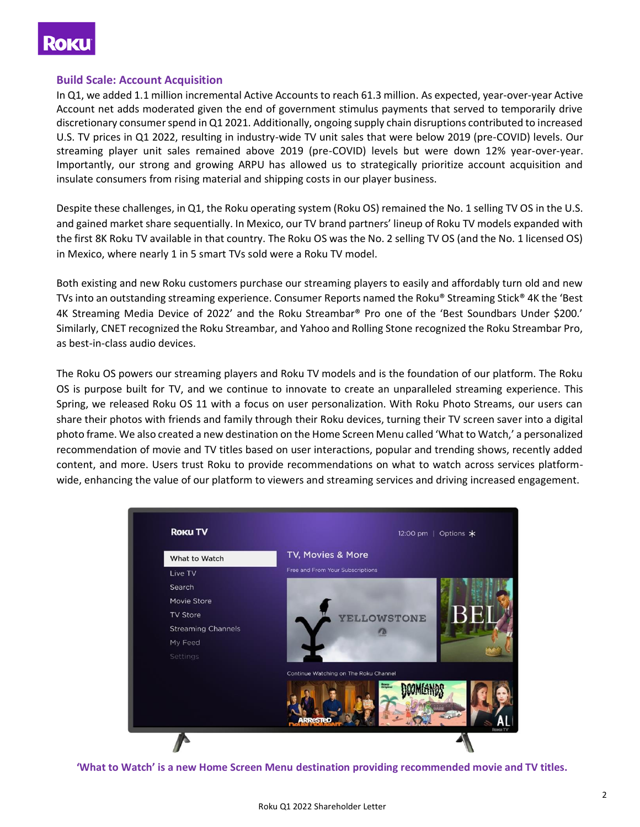

#### **Build Scale: Account Acquisition**

In Q1, we added 1.1 million incremental Active Accounts to reach 61.3 million. As expected, year-over-year Active Account net adds moderated given the end of government stimulus payments that served to temporarily drive discretionary consumer spend in Q1 2021. Additionally, ongoing supply chain disruptions contributed to increased U.S. TV prices in Q1 2022, resulting in industry-wide TV unit sales that were below 2019 (pre-COVID) levels. Our streaming player unit sales remained above 2019 (pre-COVID) levels but were down 12% year-over-year. Importantly, our strong and growing ARPU has allowed us to strategically prioritize account acquisition and insulate consumers from rising material and shipping costs in our player business.

Despite these challenges, in Q1, the Roku operating system (Roku OS) remained the No. 1 selling TV OS in the U.S. and gained market share sequentially. In Mexico, our TV brand partners' lineup of Roku TV models expanded with the first 8K Roku TV available in that country. The Roku OS was the No. 2 selling TV OS (and the No. 1 licensed OS) in Mexico, where nearly 1 in 5 smart TVs sold were a Roku TV model.

Both existing and new Roku customers purchase our streaming players to easily and affordably turn old and new TVs into an outstanding streaming experience. Consumer Reports named the Roku® Streaming Stick® 4K the 'Best 4K Streaming Media Device of 2022' and the Roku Streambar® Pro one of the 'Best Soundbars Under \$200.' Similarly, CNET recognized the Roku Streambar, and Yahoo and Rolling Stone recognized the Roku Streambar Pro, as best-in-class audio devices.

The Roku OS powers our streaming players and Roku TV models and is the foundation of our platform. The Roku OS is purpose built for TV, and we continue to innovate to create an unparalleled streaming experience. This Spring, we released Roku OS 11 with a focus on user personalization. With Roku Photo Streams, our users can share their photos with friends and family through their Roku devices, turning their TV screen saver into a digital photo frame. We also created a new destination on the Home Screen Menu called 'What to Watch,' a personalized recommendation of movie and TV titles based on user interactions, popular and trending shows, recently added content, and more. Users trust Roku to provide recommendations on what to watch across services platformwide, enhancing the value of our platform to viewers and streaming services and driving increased engagement.



**'What to Watch' is a new Home Screen Menu destination providing recommended movie and TV titles.**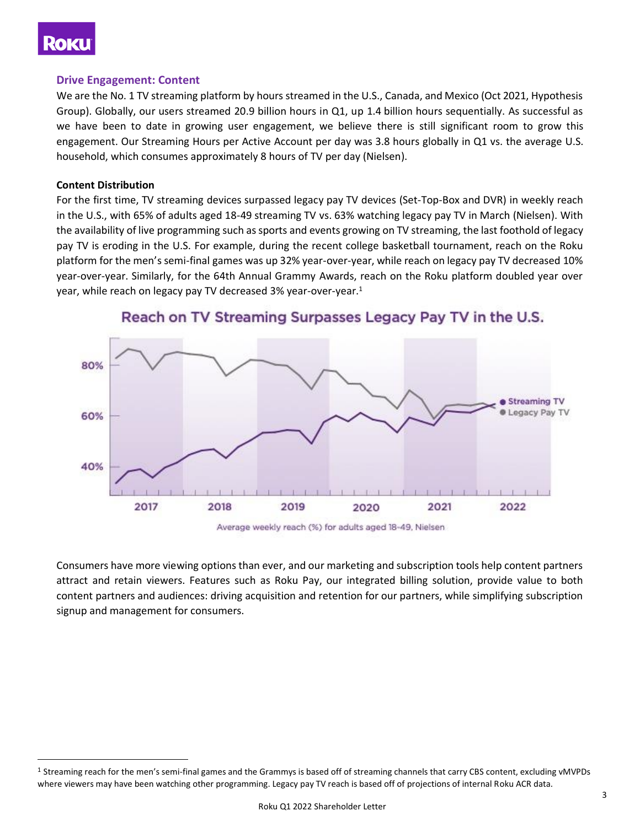## **Roku**

#### **Drive Engagement: Content**

We are the No. 1 TV streaming platform by hours streamed in the U.S., Canada, and Mexico (Oct 2021, Hypothesis Group). Globally, our users streamed 20.9 billion hours in Q1, up 1.4 billion hours sequentially. As successful as we have been to date in growing user engagement, we believe there is still significant room to grow this engagement. Our Streaming Hours per Active Account per day was 3.8 hours globally in Q1 vs. the average U.S. household, which consumes approximately 8 hours of TV per day (Nielsen).

#### **Content Distribution**

For the first time, TV streaming devices surpassed legacy pay TV devices (Set-Top-Box and DVR) in weekly reach in the U.S., with 65% of adults aged 18-49 streaming TV vs. 63% watching legacy pay TV in March (Nielsen). With the availability of live programming such as sports and events growing on TV streaming, the last foothold of legacy pay TV is eroding in the U.S. For example, during the recent college basketball tournament, reach on the Roku platform for the men's semi-final games was up 32% year-over-year, while reach on legacy pay TV decreased 10% year-over-year. Similarly, for the 64th Annual Grammy Awards, reach on the Roku platform doubled year over year, while reach on legacy pay TV decreased 3% year-over-year. 1



## Reach on TV Streaming Surpasses Legacy Pay TV in the U.S.

Average weekly reach (%) for adults aged 18-49, Nielsen

Consumers have more viewing options than ever, and our marketing and subscription tools help content partners attract and retain viewers. Features such as Roku Pay, our integrated billing solution, provide value to both content partners and audiences: driving acquisition and retention for our partners, while simplifying subscription signup and management for consumers.

<sup>&</sup>lt;sup>1</sup> Streaming reach for the men's semi-final games and the Grammys is based off of streaming channels that carry CBS content, excluding vMVPDs where viewers may have been watching other programming. Legacy pay TV reach is based off of projections of internal Roku ACR data.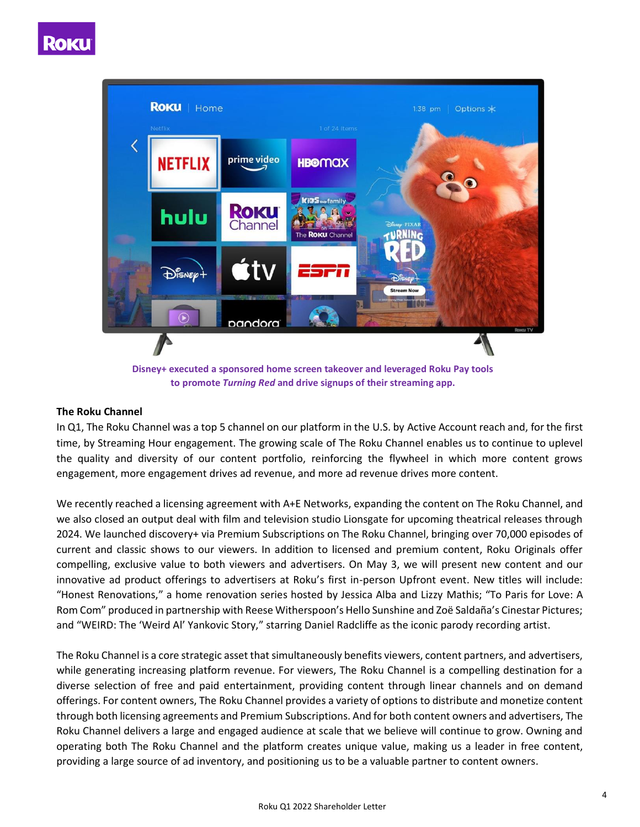

**Disney+ executed a sponsored home screen takeover and leveraged Roku Pay tools to promote** *Turning Red* **and drive signups of their streaming app.**

#### **The Roku Channel**

In Q1, The Roku Channel was a top 5 channel on our platform in the U.S. by Active Account reach and, for the first time, by Streaming Hour engagement. The growing scale of The Roku Channel enables us to continue to uplevel the quality and diversity of our content portfolio, reinforcing the flywheel in which more content grows engagement, more engagement drives ad revenue, and more ad revenue drives more content.

We recently reached a licensing agreement with A+E Networks, expanding the content on The Roku Channel, and we also closed an output deal with film and television studio Lionsgate for upcoming theatrical releases through 2024. We launched discovery+ via Premium Subscriptions on The Roku Channel, bringing over 70,000 episodes of current and classic shows to our viewers. In addition to licensed and premium content, Roku Originals offer compelling, exclusive value to both viewers and advertisers. On May 3, we will present new content and our innovative ad product offerings to advertisers at Roku's first in-person Upfront event. New titles will include: "Honest Renovations," a home renovation series hosted by Jessica Alba and Lizzy Mathis; "To Paris for Love: A Rom Com" produced in partnership with Reese Witherspoon's Hello Sunshine and Zoë Saldaña's Cinestar Pictures; and "WEIRD: The 'Weird Al' Yankovic Story," starring Daniel Radcliffe as the iconic parody recording artist.

The Roku Channel is a core strategic asset that simultaneously benefits viewers, content partners, and advertisers, while generating increasing platform revenue. For viewers, The Roku Channel is a compelling destination for a diverse selection of free and paid entertainment, providing content through linear channels and on demand offerings. For content owners, The Roku Channel provides a variety of options to distribute and monetize content through both licensing agreements and Premium Subscriptions. And for both content owners and advertisers, The Roku Channel delivers a large and engaged audience at scale that we believe will continue to grow. Owning and operating both The Roku Channel and the platform creates unique value, making us a leader in free content, providing a large source of ad inventory, and positioning us to be a valuable partner to content owners.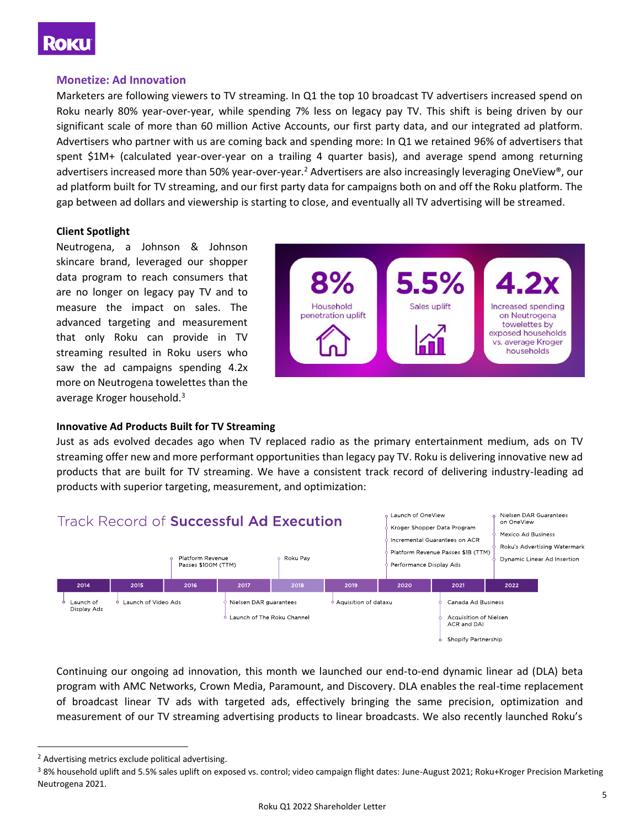

#### **Monetize: Ad Innovation**

Marketers are following viewers to TV streaming. In Q1 the top 10 broadcast TV advertisers increased spend on Roku nearly 80% year-over-year, while spending 7% less on legacy pay TV. This shift is being driven by our significant scale of more than 60 million Active Accounts, our first party data, and our integrated ad platform. Advertisers who partner with us are coming back and spending more: In Q1 we retained 96% of advertisers that spent \$1M+ (calculated year-over-year on a trailing 4 quarter basis), and average spend among returning advertisers increased more than 50% year-over-year.<sup>2</sup> Advertisers are also increasingly leveraging OneView®, our ad platform built for TV streaming, and our first party data for campaigns both on and off the Roku platform. The gap between ad dollars and viewership is starting to close, and eventually all TV advertising will be streamed.

#### **Client Spotlight**

Neutrogena, a Johnson & Johnson skincare brand, leveraged our shopper data program to reach consumers that are no longer on legacy pay TV and to measure the impact on sales. The advanced targeting and measurement that only Roku can provide in TV streaming resulted in Roku users who saw the ad campaigns spending 4.2x more on Neutrogena towelettes than the average Kroger household.<sup>3</sup>



#### **Innovative Ad Products Built for TV Streaming**

Just as ads evolved decades ago when TV replaced radio as the primary entertainment medium, ads on TV streaming offer new and more performant opportunities than legacy pay TV. Roku is delivering innovative new ad products that are built for TV streaming. We have a consistent track record of delivering industry-leading ad products with superior targeting, measurement, and optimization:



Continuing our ongoing ad innovation, this month we launched our end-to-end dynamic linear ad (DLA) beta program with AMC Networks, Crown Media, Paramount, and Discovery. DLA enables the real-time replacement of broadcast linear TV ads with targeted ads, effectively bringing the same precision, optimization and measurement of our TV streaming advertising products to linear broadcasts. We also recently launched Roku's

<sup>&</sup>lt;sup>2</sup> Advertising metrics exclude political advertising.

<sup>&</sup>lt;sup>3</sup> 8% household uplift and 5.5% sales uplift on exposed vs. control; video campaign flight dates: June-August 2021; Roku+Kroger Precision Marketing Neutrogena 2021.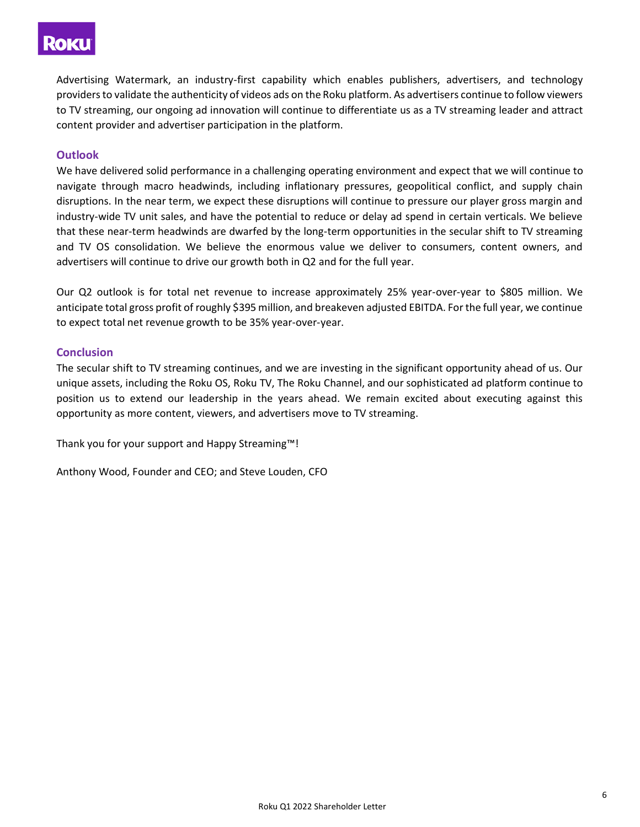## **Roku**

Advertising Watermark, an industry-first capability which enables publishers, advertisers, and technology providers to validate the authenticity of videos ads on the Roku platform. As advertisers continue to follow viewers to TV streaming, our ongoing ad innovation will continue to differentiate us as a TV streaming leader and attract content provider and advertiser participation in the platform.

## **Outlook**

We have delivered solid performance in a challenging operating environment and expect that we will continue to navigate through macro headwinds, including inflationary pressures, geopolitical conflict, and supply chain disruptions. In the near term, we expect these disruptions will continue to pressure our player gross margin and industry-wide TV unit sales, and have the potential to reduce or delay ad spend in certain verticals. We believe that these near-term headwinds are dwarfed by the long-term opportunities in the secular shift to TV streaming and TV OS consolidation. We believe the enormous value we deliver to consumers, content owners, and advertisers will continue to drive our growth both in Q2 and for the full year.

Our Q2 outlook is for total net revenue to increase approximately 25% year-over-year to \$805 million. We anticipate total gross profit of roughly \$395 million, and breakeven adjusted EBITDA. For the full year, we continue to expect total net revenue growth to be 35% year-over-year.

#### **Conclusion**

The secular shift to TV streaming continues, and we are investing in the significant opportunity ahead of us. Our unique assets, including the Roku OS, Roku TV, The Roku Channel, and our sophisticated ad platform continue to position us to extend our leadership in the years ahead. We remain excited about executing against this opportunity as more content, viewers, and advertisers move to TV streaming.

Thank you for your support and Happy Streaming™!

Anthony Wood, Founder and CEO; and Steve Louden, CFO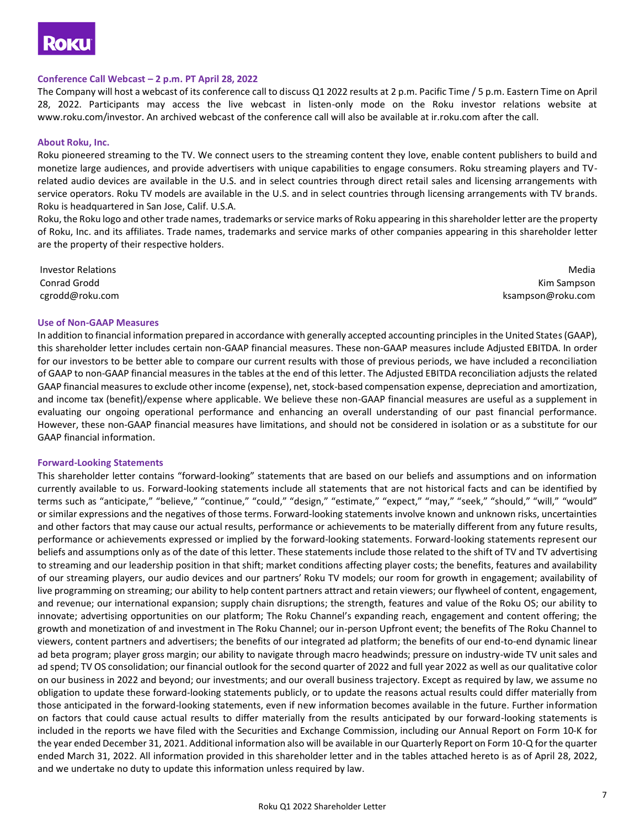## ROKU

#### **Conference Call Webcast – 2 p.m. PT April 28, 2022**

The Company will host a webcast of its conference call to discuss Q1 2022 results at 2 p.m. Pacific Time / 5 p.m. Eastern Time on April 28, 2022. Participants may access the live webcast in listen-only mode on the Roku investor relations website at www.roku.com/investor. An archived webcast of the conference call will also be available at ir.roku.com after the call.

#### **About Roku, Inc.**

Roku pioneered streaming to the TV. We connect users to the streaming content they love, enable content publishers to build and monetize large audiences, and provide advertisers with unique capabilities to engage consumers. Roku streaming players and TVrelated audio devices are available in the U.S. and in select countries through direct retail sales and licensing arrangements with service operators. Roku TV models are available in the U.S. and in select countries through licensing arrangements with TV brands. Roku is headquartered in San Jose, Calif. U.S.A.

Roku, the Roku logo and other trade names, trademarks or service marks of Roku appearing in this shareholder letter are the property of Roku, Inc. and its affiliates. Trade names, trademarks and service marks of other companies appearing in this shareholder letter are the property of their respective holders.

Investor Relations Conrad Grodd cgrodd@roku.com

Media Kim Sampson ksampson@roku.com

#### **Use of Non-GAAP Measures**

In addition to financial information prepared in accordance with generally accepted accounting principles in the United States (GAAP), this shareholder letter includes certain non-GAAP financial measures. These non-GAAP measures include Adjusted EBITDA. In order for our investors to be better able to compare our current results with those of previous periods, we have included a reconciliation of GAAP to non-GAAP financial measures in the tables at the end of this letter. The Adjusted EBITDA reconciliation adjusts the related GAAP financial measures to exclude other income (expense), net, stock-based compensation expense, depreciation and amortization, and income tax (benefit)/expense where applicable. We believe these non-GAAP financial measures are useful as a supplement in evaluating our ongoing operational performance and enhancing an overall understanding of our past financial performance. However, these non-GAAP financial measures have limitations, and should not be considered in isolation or as a substitute for our GAAP financial information.

#### **Forward-Looking Statements**

This shareholder letter contains "forward-looking" statements that are based on our beliefs and assumptions and on information currently available to us. Forward-looking statements include all statements that are not historical facts and can be identified by terms such as "anticipate," "believe," "continue," "could," "design," "estimate," "expect," "may," "seek," "should," "will," "would" or similar expressions and the negatives of those terms. Forward-looking statements involve known and unknown risks, uncertainties and other factors that may cause our actual results, performance or achievements to be materially different from any future results, performance or achievements expressed or implied by the forward-looking statements. Forward-looking statements represent our beliefs and assumptions only as of the date of this letter. These statements include those related to the shift of TV and TV advertising to streaming and our leadership position in that shift; market conditions affecting player costs; the benefits, features and availability of our streaming players, our audio devices and our partners' Roku TV models; our room for growth in engagement; availability of live programming on streaming; our ability to help content partners attract and retain viewers; our flywheel of content, engagement, and revenue; our international expansion; supply chain disruptions; the strength, features and value of the Roku OS; our ability to innovate; advertising opportunities on our platform; The Roku Channel's expanding reach, engagement and content offering; the growth and monetization of and investment in The Roku Channel; our in-person Upfront event; the benefits of The Roku Channel to viewers, content partners and advertisers; the benefits of our integrated ad platform; the benefits of our end-to-end dynamic linear ad beta program; player gross margin; our ability to navigate through macro headwinds; pressure on industry-wide TV unit sales and ad spend; TV OS consolidation; our financial outlook for the second quarter of 2022 and full year 2022 as well as our qualitative color on our business in 2022 and beyond; our investments; and our overall business trajectory. Except as required by law, we assume no obligation to update these forward-looking statements publicly, or to update the reasons actual results could differ materially from those anticipated in the forward-looking statements, even if new information becomes available in the future. Further information on factors that could cause actual results to differ materially from the results anticipated by our forward-looking statements is included in the reports we have filed with the Securities and Exchange Commission, including our Annual Report on Form 10-K for the year ended December 31, 2021. Additional information also will be available in our Quarterly Report on Form 10-Q for the quarter ended March 31, 2022. All information provided in this shareholder letter and in the tables attached hereto is as of April 28, 2022, and we undertake no duty to update this information unless required by law.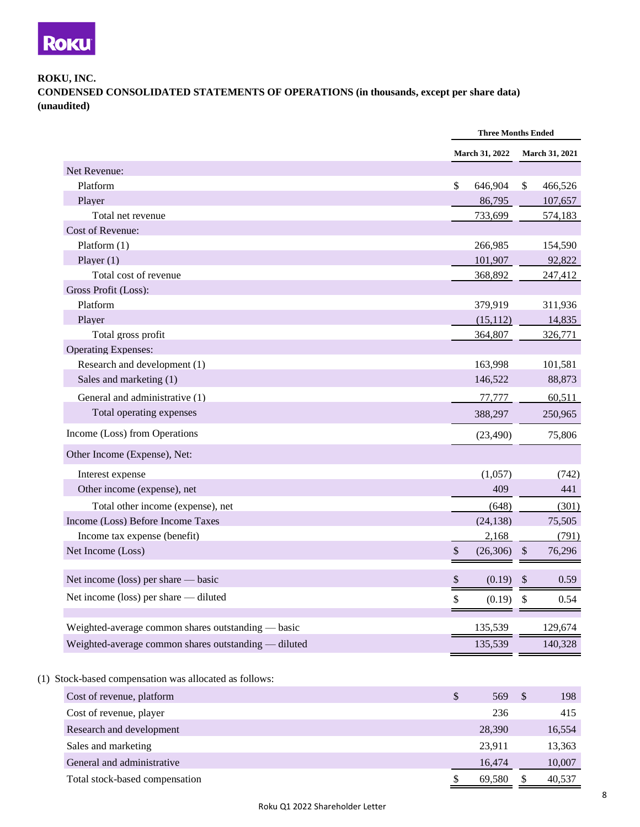

### **ROKU, INC. CONDENSED CONSOLIDATED STATEMENTS OF OPERATIONS (in thousands, except per share data) (unaudited)**

|                                                    |                         | <b>Three Months Ended</b> |
|----------------------------------------------------|-------------------------|---------------------------|
|                                                    | March 31, 2022          | March 31, 2021            |
| Net Revenue:                                       |                         |                           |
| Platform                                           | $\mathbb{S}$<br>646,904 | 466,526<br>\$             |
| Player                                             | 86,795                  | 107,657                   |
| Total net revenue                                  | 733,699                 | 574,183                   |
| Cost of Revenue:                                   |                         |                           |
| Platform $(1)$                                     | 266,985                 | 154,590                   |
| Player $(1)$                                       | 101,907                 | 92,822                    |
| Total cost of revenue                              | 368,892                 | 247,412                   |
| Gross Profit (Loss):                               |                         |                           |
| Platform                                           | 379,919                 | 311,936                   |
| Player                                             | (15, 112)               | 14,835                    |
| Total gross profit                                 | 364,807                 | 326,771                   |
| <b>Operating Expenses:</b>                         |                         |                           |
| Research and development (1)                       | 163,998                 | 101,581                   |
| Sales and marketing (1)                            | 146,522                 | 88,873                    |
| General and administrative (1)                     | 77,777                  | 60,511                    |
| Total operating expenses                           | 388,297                 | 250,965                   |
| Income (Loss) from Operations                      | (23, 490)               | 75,806                    |
| Other Income (Expense), Net:                       |                         |                           |
| Interest expense                                   | (1,057)                 | (742)                     |
| Other income (expense), net                        | 409                     | 441                       |
| Total other income (expense), net                  | (648)                   | (301)                     |
| Income (Loss) Before Income Taxes                  | (24, 138)               | 75,505                    |
| Income tax expense (benefit)                       | 2,168                   | (791)                     |
| Net Income (Loss)                                  | \$<br>(26, 306)         | $\mathcal{S}$<br>76,296   |
| Net income (loss) per share — basic                | \$<br>(0.19)            | 0.59<br>\$                |
| Net income (loss) per share — diluted              | \$<br>(0.19)            | \$<br>0.54                |
| Weighted-average common shares outstanding — basic | 135,539                 | 129,674                   |
|                                                    | 135,539                 | 140,328                   |

| Cost of revenue, platform      | 569    | 198    |
|--------------------------------|--------|--------|
| Cost of revenue, player        | 236    | 415    |
| Research and development       | 28,390 | 16,554 |
| Sales and marketing            | 23,911 | 13,363 |
| General and administrative     | 16.474 | 10,007 |
| Total stock-based compensation | 69.580 | 40,537 |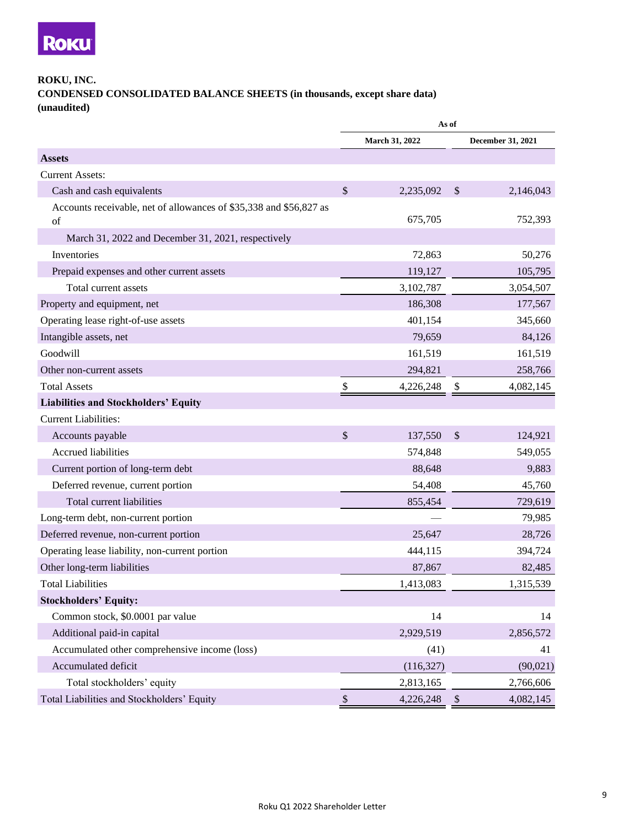

#### **ROKU, INC.**

**CONDENSED CONSOLIDATED BALANCE SHEETS (in thousands, except share data) (unaudited)** 

|                                                                    | As of         |                |    |                   |
|--------------------------------------------------------------------|---------------|----------------|----|-------------------|
|                                                                    |               | March 31, 2022 |    | December 31, 2021 |
| <b>Assets</b>                                                      |               |                |    |                   |
| <b>Current Assets:</b>                                             |               |                |    |                   |
| Cash and cash equivalents                                          | $\mathcal{S}$ | 2,235,092      | \$ | 2,146,043         |
| Accounts receivable, net of allowances of \$35,338 and \$56,827 as |               |                |    |                   |
| of                                                                 |               | 675,705        |    | 752,393           |
| March 31, 2022 and December 31, 2021, respectively                 |               |                |    |                   |
| Inventories                                                        |               | 72,863         |    | 50,276            |
| Prepaid expenses and other current assets                          |               | 119,127        |    | 105,795           |
| Total current assets                                               |               | 3,102,787      |    | 3,054,507         |
| Property and equipment, net                                        |               | 186,308        |    | 177,567           |
| Operating lease right-of-use assets                                |               | 401,154        |    | 345,660           |
| Intangible assets, net                                             |               | 79,659         |    | 84,126            |
| Goodwill                                                           |               | 161,519        |    | 161,519           |
| Other non-current assets                                           |               | 294,821        |    | 258,766           |
| <b>Total Assets</b>                                                | \$            | 4,226,248      | \$ | 4,082,145         |
| <b>Liabilities and Stockholders' Equity</b>                        |               |                |    |                   |
| <b>Current Liabilities:</b>                                        |               |                |    |                   |
| Accounts payable                                                   | \$            | 137,550        | \$ | 124,921           |
| Accrued liabilities                                                |               | 574,848        |    | 549,055           |
| Current portion of long-term debt                                  |               | 88,648         |    | 9,883             |
| Deferred revenue, current portion                                  |               | 54,408         |    | 45,760            |
| Total current liabilities                                          |               | 855,454        |    | 729,619           |
| Long-term debt, non-current portion                                |               |                |    | 79,985            |
| Deferred revenue, non-current portion                              |               | 25,647         |    | 28,726            |
| Operating lease liability, non-current portion                     |               | 444,115        |    | 394,724           |
| Other long-term liabilities                                        |               | 87,867         |    | 82,485            |
| <b>Total Liabilities</b>                                           |               | 1,413,083      |    | 1,315,539         |
| <b>Stockholders' Equity:</b>                                       |               |                |    |                   |
| Common stock, \$0.0001 par value                                   |               | 14             |    | 14                |
| Additional paid-in capital                                         |               | 2,929,519      |    | 2,856,572         |
| Accumulated other comprehensive income (loss)                      |               | (41)           |    | 41                |
| Accumulated deficit                                                |               | (116, 327)     |    | (90,021)          |
| Total stockholders' equity                                         |               | 2,813,165      |    | 2,766,606         |
| Total Liabilities and Stockholders' Equity                         | \$            | 4,226,248      | \$ | 4,082,145         |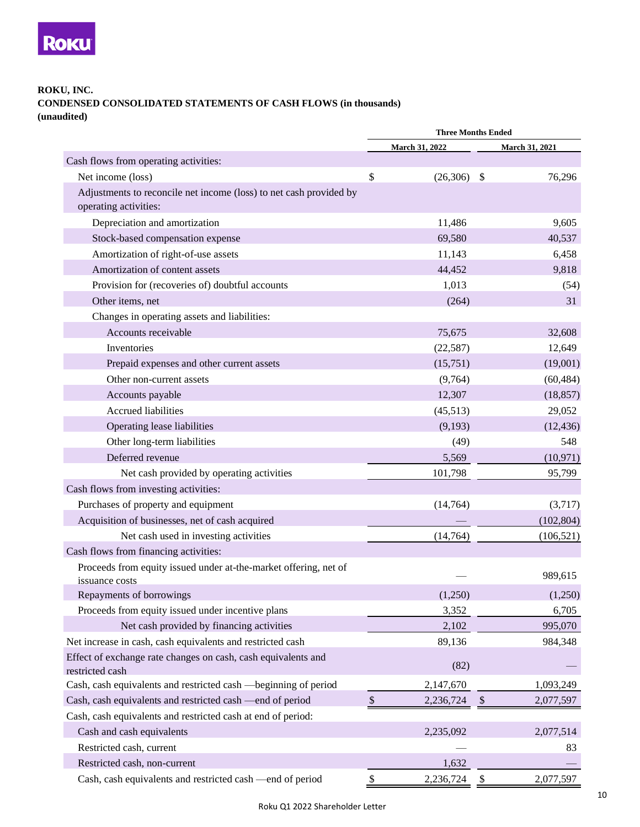

### **ROKU, INC. CONDENSED CONSOLIDATED STATEMENTS OF CASH FLOWS (in thousands) (unaudited)**

|                                                                                             | <b>Three Months Ended</b> |                |    |                       |
|---------------------------------------------------------------------------------------------|---------------------------|----------------|----|-----------------------|
|                                                                                             |                           | March 31, 2022 |    | <b>March 31, 2021</b> |
| Cash flows from operating activities:                                                       |                           |                |    |                       |
| Net income (loss)                                                                           | \$                        | $(26,306)$ \$  |    | 76,296                |
| Adjustments to reconcile net income (loss) to net cash provided by<br>operating activities: |                           |                |    |                       |
| Depreciation and amortization                                                               |                           | 11,486         |    | 9,605                 |
| Stock-based compensation expense                                                            |                           | 69,580         |    | 40,537                |
| Amortization of right-of-use assets                                                         |                           | 11,143         |    | 6,458                 |
| Amortization of content assets                                                              |                           | 44,452         |    | 9,818                 |
| Provision for (recoveries of) doubtful accounts                                             |                           | 1,013          |    | (54)                  |
| Other items, net                                                                            |                           | (264)          |    | 31                    |
| Changes in operating assets and liabilities:                                                |                           |                |    |                       |
| Accounts receivable                                                                         |                           | 75,675         |    | 32,608                |
| Inventories                                                                                 |                           | (22, 587)      |    | 12,649                |
| Prepaid expenses and other current assets                                                   |                           | (15,751)       |    | (19,001)              |
| Other non-current assets                                                                    |                           | (9,764)        |    | (60, 484)             |
| Accounts payable                                                                            |                           | 12,307         |    | (18, 857)             |
| Accrued liabilities                                                                         |                           | (45,513)       |    | 29,052                |
| Operating lease liabilities                                                                 |                           | (9,193)        |    | (12, 436)             |
| Other long-term liabilities                                                                 |                           | (49)           |    | 548                   |
| Deferred revenue                                                                            |                           | 5,569          |    | (10, 971)             |
| Net cash provided by operating activities                                                   |                           | 101,798        |    | 95,799                |
| Cash flows from investing activities:                                                       |                           |                |    |                       |
| Purchases of property and equipment                                                         |                           | (14, 764)      |    | (3,717)               |
| Acquisition of businesses, net of cash acquired                                             |                           |                |    | (102, 804)            |
| Net cash used in investing activities                                                       |                           | (14, 764)      |    | (106, 521)            |
| Cash flows from financing activities:                                                       |                           |                |    |                       |
| Proceeds from equity issued under at-the-market offering, net of<br>issuance costs          |                           |                |    | 989,615               |
| Repayments of borrowings                                                                    |                           | (1,250)        |    | (1,250)               |
| Proceeds from equity issued under incentive plans                                           |                           | 3,352          |    | 6,705                 |
| Net cash provided by financing activities                                                   |                           | 2,102          |    | 995,070               |
| Net increase in cash, cash equivalents and restricted cash                                  |                           | 89,136         |    | 984,348               |
| Effect of exchange rate changes on cash, cash equivalents and<br>restricted cash            |                           | (82)           |    |                       |
| Cash, cash equivalents and restricted cash -beginning of period                             |                           | 2,147,670      |    | 1,093,249             |
| Cash, cash equivalents and restricted cash —end of period                                   | $\mathbb{S}$              | 2,236,724      | \$ | 2,077,597             |
| Cash, cash equivalents and restricted cash at end of period:                                |                           |                |    |                       |
| Cash and cash equivalents                                                                   |                           | 2,235,092      |    | 2,077,514             |
| Restricted cash, current                                                                    |                           |                |    | 83                    |
| Restricted cash, non-current                                                                |                           | 1,632          |    |                       |
| Cash, cash equivalents and restricted cash -end of period                                   | \$                        | 2,236,724      | \$ | 2,077,597             |